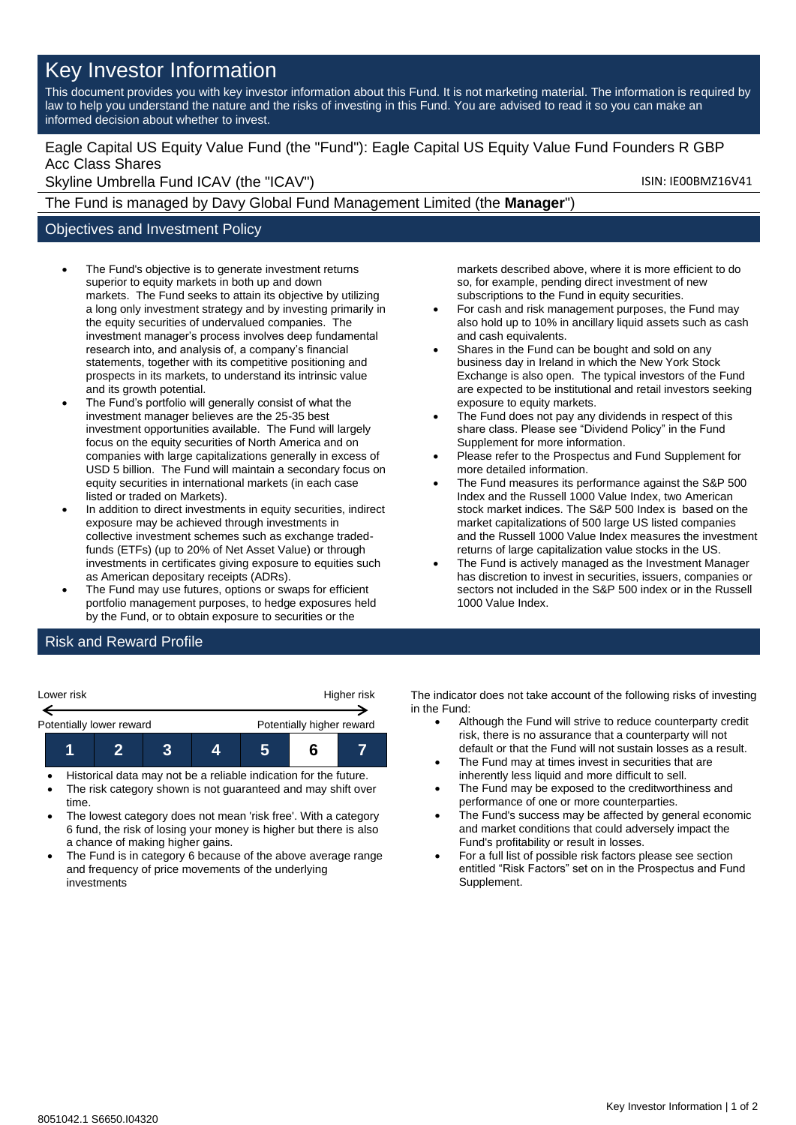# Key Investor Information

This document provides you with key investor information about this Fund. It is not marketing material. The information is required by law to help you understand the nature and the risks of investing in this Fund. You are advised to read it so you can make an informed decision about whether to invest.

### Eagle Capital US Equity Value Fund (the "Fund"): Eagle Capital US Equity Value Fund Founders R GBP Acc Class Shares

Skyline Umbrella Fund ICAV (the "ICAV") Skyline Umbrella Fund ICAV (the "ICAV")

The Fund is managed by Davy Global Fund Management Limited (the **Manager**")

### Objectives and Investment Policy

- The Fund's objective is to generate investment returns superior to equity markets in both up and down markets. The Fund seeks to attain its objective by utilizing a long only investment strategy and by investing primarily in the equity securities of undervalued companies. The investment manager's process involves deep fundamental research into, and analysis of, a company's financial statements, together with its competitive positioning and prospects in its markets, to understand its intrinsic value and its growth potential.
- The Fund's portfolio will generally consist of what the investment manager believes are the 25-35 best investment opportunities available. The Fund will largely focus on the equity securities of North America and on companies with large capitalizations generally in excess of USD 5 billion. The Fund will maintain a secondary focus on equity securities in international markets (in each case listed or traded on Markets).
- In addition to direct investments in equity securities, indirect exposure may be achieved through investments in collective investment schemes such as exchange tradedfunds (ETFs) (up to 20% of Net Asset Value) or through investments in certificates giving exposure to equities such as American depositary receipts (ADRs).
- The Fund may use futures, options or swaps for efficient portfolio management purposes, to hedge exposures held by the Fund, or to obtain exposure to securities or the

markets described above, where it is more efficient to do so, for example, pending direct investment of new subscriptions to the Fund in equity securities.

- For cash and risk management purposes, the Fund may also hold up to 10% in ancillary liquid assets such as cash and cash equivalents.
- Shares in the Fund can be bought and sold on any business day in Ireland in which the New York Stock Exchange is also open. The typical investors of the Fund are expected to be institutional and retail investors seeking exposure to equity markets.
- The Fund does not pay any dividends in respect of this share class. Please see "Dividend Policy" in the Fund Supplement for more information.
- Please refer to the Prospectus and Fund Supplement for more detailed information.
- The Fund measures its performance against the S&P 500 Index and the Russell 1000 Value Index, two American stock market indices. The S&P 500 Index is based on the market capitalizations of 500 large US listed companies and the Russell 1000 Value Index measures the investment returns of large capitalization value stocks in the US.
- The Fund is actively managed as the Investment Manager has discretion to invest in securities, issuers, companies or sectors not included in the S&P 500 index or in the Russell 1000 Value Index.

## Risk and Reward Profile

| Lower risk               |  | Higher risk               |  |  |  |  |
|--------------------------|--|---------------------------|--|--|--|--|
| Potentially lower reward |  | Potentially higher reward |  |  |  |  |
|                          |  |                           |  |  |  |  |

- Historical data may not be a reliable indication for the future.
- The risk category shown is not guaranteed and may shift over time.
- The lowest category does not mean 'risk free'. With a category 6 fund, the risk of losing your money is higher but there is also a chance of making higher gains.
- The Fund is in category 6 because of the above average range and frequency of price movements of the underlying investments

The indicator does not take account of the following risks of investing in the Fund:

- Although the Fund will strive to reduce counterparty credit risk, there is no assurance that a counterparty will not default or that the Fund will not sustain losses as a result.
- The Fund may at times invest in securities that are inherently less liquid and more difficult to sell.
- The Fund may be exposed to the creditworthiness and performance of one or more counterparties.
- The Fund's success may be affected by general economic and market conditions that could adversely impact the Fund's profitability or result in losses.
- For a full list of possible risk factors please see section entitled "Risk Factors" set on in the Prospectus and Fund Supplement.